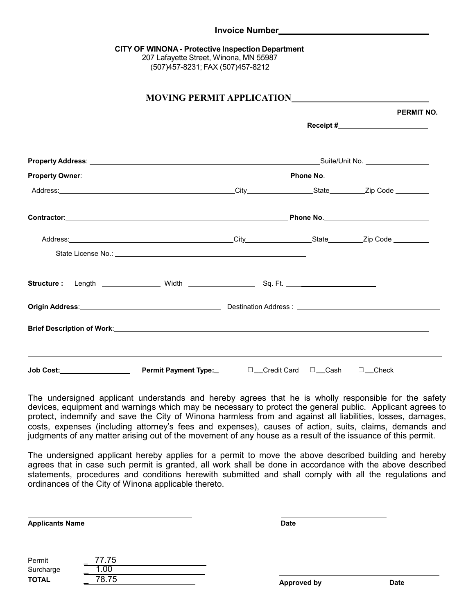## **CITY OF WINONA- Protective Inspection Department**

207 Lafayette Street, Winona, MN 55987 (507)457-8231; FAX (507)457-8212

|  | <b>PERMIT NO.</b> |                                |                                     |  |
|--|-------------------|--------------------------------|-------------------------------------|--|
|  |                   |                                | Receipt #__________________________ |  |
|  |                   |                                |                                     |  |
|  |                   |                                |                                     |  |
|  |                   |                                |                                     |  |
|  |                   |                                |                                     |  |
|  |                   |                                |                                     |  |
|  |                   |                                |                                     |  |
|  |                   |                                |                                     |  |
|  |                   |                                |                                     |  |
|  |                   |                                |                                     |  |
|  |                   | $\Box$ Credit Card $\Box$ Cash | $\square$ Check                     |  |

The undersigned applicant understands and hereby agrees that he is wholly responsible for the safety devices, equipment and warnings which may be necessary to protect the general public. Applicant agrees to protect, indemnify and save the City of Winona harmless from and against all liabilities, losses, damages, costs, expenses (including attorney's fees and expenses), causes of action, suits, claims, demands and judgments of any matter arising out of the movement of any house as a result of the issuance of this permit.

The undersigned applicant hereby applies for a permit to move the above described building and hereby agrees that in case such permit is granted, all work shall be done in accordance with the above described statements, procedures and conditions herewith submitted and shall comply with all the regulations and ordinances of the City of Winona applicable thereto.

**Applicants Name Date** 

Permit \_ 77.75 Surcharge 1.00 **TOTAL** 278.75 **Date**